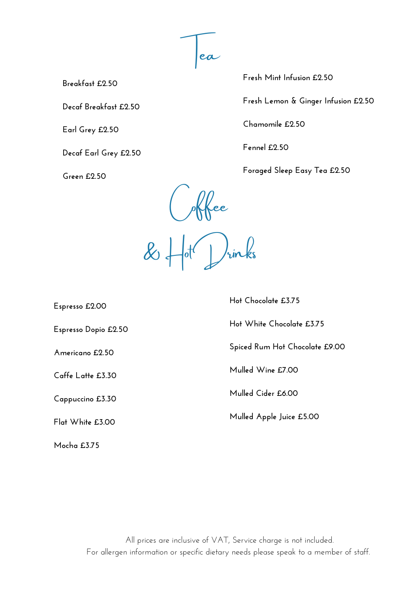Tea

**Breakfast £2.50**

**Decaf Breakfast £2.50**

**Earl Grey £2.50**

**Decaf Earl Grey £2.50**

**Green £2.50**

**Fresh Mint Infusion £2.50**

**Fresh Lemon & Ginger Infusion £2.50**

**Chamomile £2.50**

**Fennel £2.50**

**Foraged Sleep Easy Tea £2.50**

 $\rho$ Kkee  $\alpha$   $\mapsto$   $\alpha$   $\mapsto$   $\alpha$ 

**Espresso £2.00**

**Espresso Dopio £2.50**

**Americano £2.50**

**Caffe Latte £3.30**

**Cappuccino £3.30**

**Flat White £3.00**

**Mocha £3.75**

**Hot Chocolate £3.75**

**Hot White Chocolate £3.75**

**Spiced Rum Hot Chocolate £9.00**

**Mulled Wine £7.00**

**Mulled Cider £6.00**

**Mulled Apple Juice £5.00**

All prices are inclusive of VAT, Service charge is not included. For allergen information or specific dietary needs please speak to a member of staff.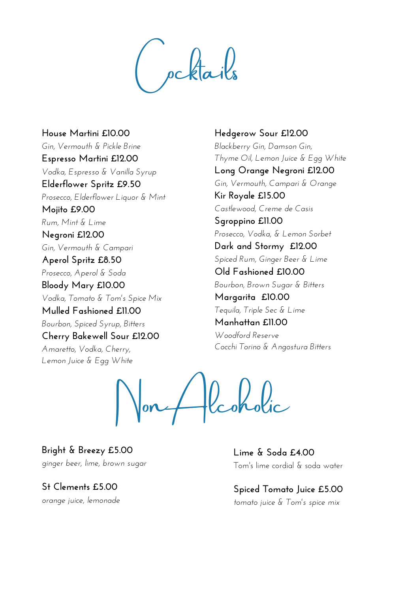pcktails

**House Martini £10.00** *Gin, Vermouth & Pickle Brine* **Espresso Martini £12.00** *Vodka, Espresso & Vanilla Syrup* **Elderflower Spritz £9.50** *Prosecco, Elderflower Liquor & Mint* **Mojito £9.00** *Rum, Mint & Lime* **Negroni £12.00** *Gin, Vermouth & Campari* **Aperol Spritz £8.50** *Prosecco, Aperol & Soda* **Bloody Mary £10.00** *Vodka, Tomato & Tom's Spice Mix* **Mulled Fashioned £11.00** *Bourbon, Spiced Syrup, Bitters* **Cherry Bakewell Sour £12.00** *Amaretto, Vodka, Cherry, Lemon Juice & Egg White*

**Hedgerow Sour £12.00** *Blackberry Gin, Damson Gin, Thyme Oil, Lemon Juice & Egg White* **Long Orange Negroni £12.00** *Gin, Vermouth, Campari & Orange* **Kir Royale £15.00** *Castlewood, Creme de Casis* **Sgroppino £11.00** *Prosecco, Vodka, & Lemon Sorbet* **Dark and Stormy £12.00** *Spiced Rum, Ginger Beer & Lime* **Old Fashioned £10.00** *Bourbon, Brown Sugar & Bitters* **Margarita £10.00** *Tequila, Triple Sec & Lime* **Manhattan £11.00** *Woodford Reserve Cocchi Torino & Angostura Bitters*

Non Alcoholic

**Bright & Breezy £5.00** *ginger beer, lime, brown sugar*

**St Clements £5.00** *orange juice, lemonade* **Lime & Soda £4.00** Tom's lime cordial & soda water

**Spiced Tomato Juice £5.00** *tomato juice & Tom's spice mix*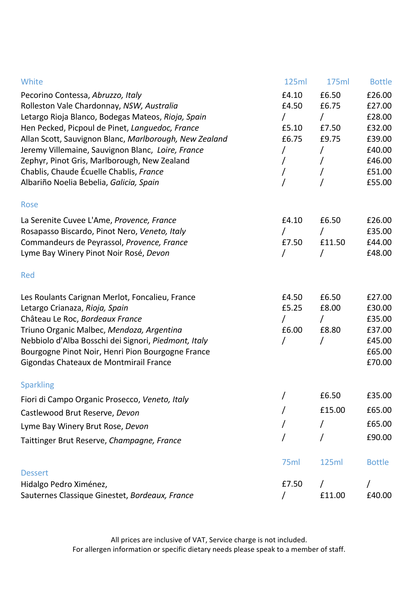| White                                                  | 125ml    | 175ml    | <b>Bottle</b> |
|--------------------------------------------------------|----------|----------|---------------|
| Pecorino Contessa, Abruzzo, Italy                      | £4.10    | £6.50    | £26.00        |
| Rolleston Vale Chardonnay, NSW, Australia              | £4.50    | £6.75    | £27.00        |
| Letargo Rioja Blanco, Bodegas Mateos, Rioja, Spain     | $\prime$ | $\prime$ | £28.00        |
| Hen Pecked, Picpoul de Pinet, Languedoc, France        | £5.10    | £7.50    | £32.00        |
| Allan Scott, Sauvignon Blanc, Marlborough, New Zealand | £6.75    | £9.75    | £39.00        |
| Jeremy Villemaine, Sauvignon Blanc, Loire, France      | 7        | $\prime$ | £40.00        |
| Zephyr, Pinot Gris, Marlborough, New Zealand           | $\prime$ | $\prime$ | £46.00        |
| Chablis, Chaude Écuelle Chablis, France                | $\prime$ | 7        | £51.00        |
| Albariño Noelia Bebelia, Galicia, Spain                |          | 7        | £55.00        |
| Rose                                                   |          |          |               |
| La Serenite Cuvee L'Ame, Provence, France              | £4.10    | £6.50    | £26.00        |
| Rosapasso Biscardo, Pinot Nero, Veneto, Italy          | T        | 7        | £35.00        |
| Commandeurs de Peyrassol, Provence, France             | £7.50    | £11.50   | £44.00        |
| Lyme Bay Winery Pinot Noir Rosé, Devon                 | T        | 7        | £48.00        |
| Red                                                    |          |          |               |
| Les Roulants Carignan Merlot, Foncalieu, France        | £4.50    | £6.50    | £27.00        |
| Letargo Crianaza, Rioja, Spain                         | £5.25    | £8.00    | £30.00        |
| Château Le Roc, Bordeaux France                        | $\prime$ | $\prime$ | £35.00        |
| Triuno Organic Malbec, Mendoza, Argentina              | £6.00    | £8.80    | £37.00        |
| Nebbiolo d'Alba Bosschi dei Signori, Piedmont, Italy   | $\prime$ | $\prime$ | £45.00        |
| Bourgogne Pinot Noir, Henri Pion Bourgogne France      |          |          | £65.00        |
| Gigondas Chateaux de Montmirail France                 |          |          | £70.00        |
| <b>Sparkling</b>                                       |          |          |               |
| Fiori di Campo Organic Prosecco, Veneto, Italy         | $\prime$ | £6.50    | £35.00        |
| Castlewood Brut Reserve, Devon                         | $\prime$ | £15.00   | £65.00        |
| Lyme Bay Winery Brut Rose, Devon                       |          | 7        | £65.00        |
| Taittinger Brut Reserve, Champagne, France             |          | Τ        | £90.00        |
|                                                        | 75ml     | 125ml    | <b>Bottle</b> |
| <b>Dessert</b>                                         | £7.50    |          |               |
| Hidalgo Pedro Ximénez,                                 |          | $\prime$ |               |
| Sauternes Classique Ginestet, Bordeaux, France         | T        | £11.00   | £40.00        |

All prices are inclusive of VAT, Service charge is not included. For allergen information or specific dietary needs please speak to a member of staff.